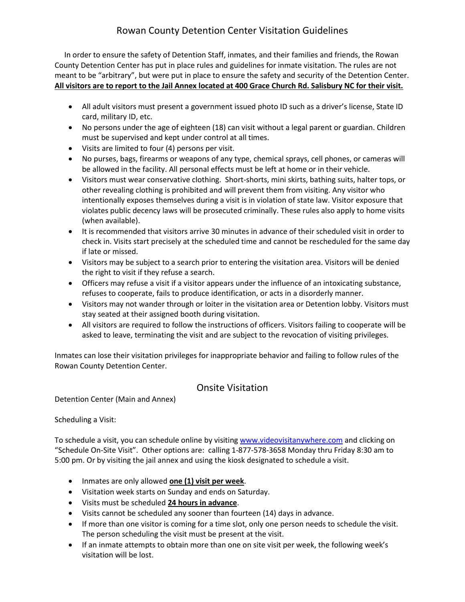# Rowan County Detention Center Visitation Guidelines

 In order to ensure the safety of Detention Staff, inmates, and their families and friends, the Rowan County Detention Center has put in place rules and guidelines for inmate visitation. The rules are not meant to be "arbitrary", but were put in place to ensure the safety and security of the Detention Center. **All visitors are to report to the Jail Annex located at 400 Grace Church Rd. Salisbury NC for their visit.**

- All adult visitors must present a government issued photo ID such as a driver's license, State ID card, military ID, etc.
- No persons under the age of eighteen (18) can visit without a legal parent or guardian. Children must be supervised and kept under control at all times.
- Visits are limited to four (4) persons per visit.
- No purses, bags, firearms or weapons of any type, chemical sprays, cell phones, or cameras will be allowed in the facility. All personal effects must be left at home or in their vehicle.
- Visitors must wear conservative clothing. Short-shorts, mini skirts, bathing suits, halter tops, or other revealing clothing is prohibited and will prevent them from visiting. Any visitor who intentionally exposes themselves during a visit is in violation of state law. Visitor exposure that violates public decency laws will be prosecuted criminally. These rules also apply to home visits (when available).
- It is recommended that visitors arrive 30 minutes in advance of their scheduled visit in order to check in. Visits start precisely at the scheduled time and cannot be rescheduled for the same day if late or missed.
- Visitors may be subject to a search prior to entering the visitation area. Visitors will be denied the right to visit if they refuse a search.
- Officers may refuse a visit if a visitor appears under the influence of an intoxicating substance, refuses to cooperate, fails to produce identification, or acts in a disorderly manner.
- Visitors may not wander through or loiter in the visitation area or Detention lobby. Visitors must stay seated at their assigned booth during visitation.
- All visitors are required to follow the instructions of officers. Visitors failing to cooperate will be asked to leave, terminating the visit and are subject to the revocation of visiting privileges.

Inmates can lose their visitation privileges for inappropriate behavior and failing to follow rules of the Rowan County Detention Center.

## Onsite Visitation

Detention Center (Main and Annex)

Scheduling a Visit:

To schedule a visit, you can schedule online by visiting [www.videovisitanywhere.com](http://www.videovisitanywhere.com/) and clicking on "Schedule On-Site Visit". Other options are: calling 1-877-578-3658 Monday thru Friday 8:30 am to 5:00 pm. Or by visiting the jail annex and using the kiosk designated to schedule a visit.

- **•** Inmates are only allowed **one (1) visit per week**.
- Visitation week starts on Sunday and ends on Saturday.
- Visits must be scheduled **24 hours in advance**.
- Visits cannot be scheduled any sooner than fourteen (14) days in advance.
- If more than one visitor is coming for a time slot, only one person needs to schedule the visit. The person scheduling the visit must be present at the visit.
- If an inmate attempts to obtain more than one on site visit per week, the following week's visitation will be lost.